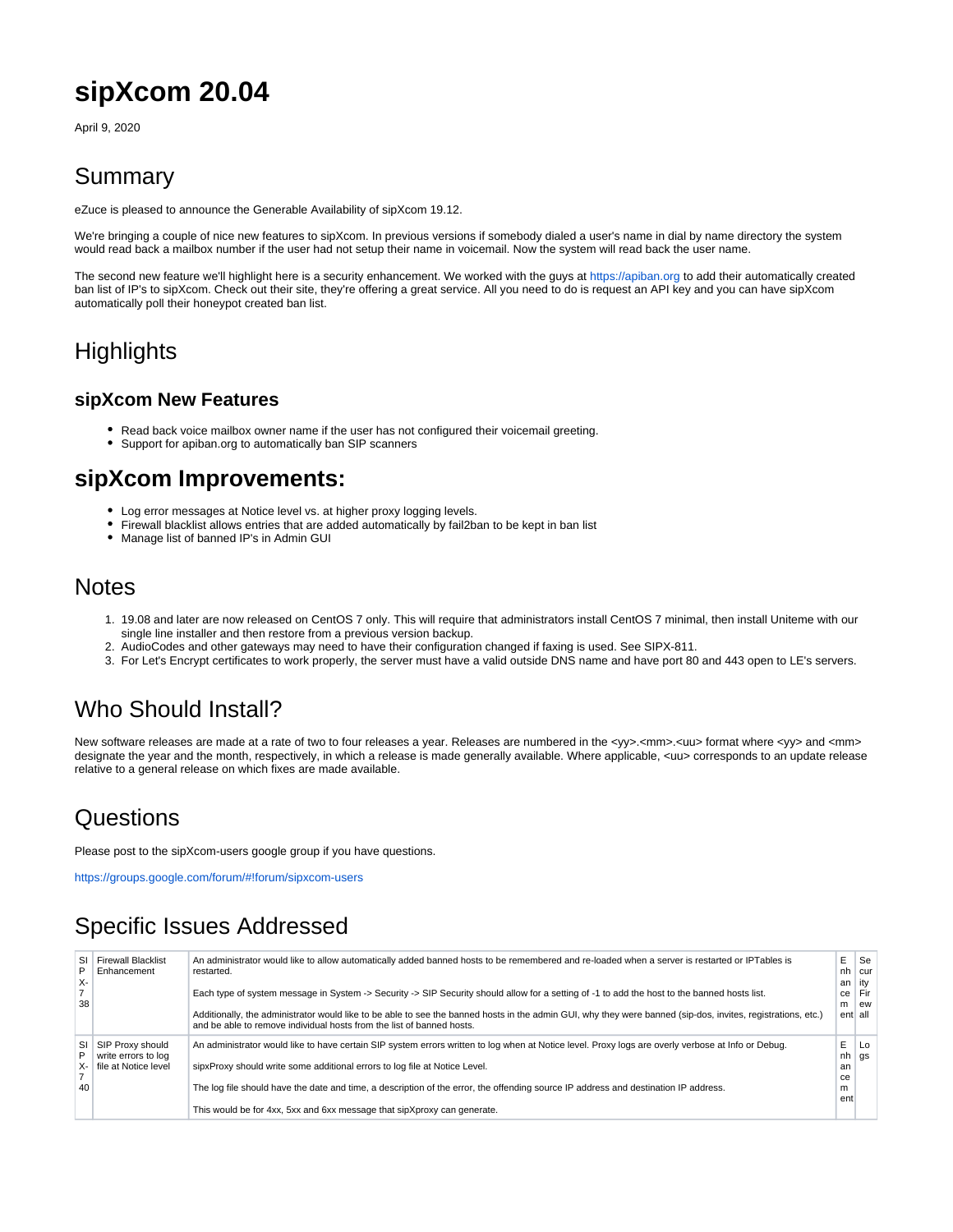# **sipXcom 20.04**

April 9, 2020

#### Summary

eZuce is pleased to announce the Generable Availability of sipXcom 19.12.

We're bringing a couple of nice new features to sipXcom. In previous versions if somebody dialed a user's name in dial by name directory the system would read back a mailbox number if the user had not setup their name in voicemail. Now the system will read back the user name.

The second new feature we'll highlight here is a security enhancement. We worked with the guys at<https://apiban.org> to add their automatically created ban list of IP's to sipXcom. Check out their site, they're offering a great service. All you need to do is request an API key and you can have sipXcom automatically poll their honeypot created ban list.

## **Highlights**

#### **sipXcom New Features**

- Read back voice mailbox owner name if the user has not configured their voicemail greeting.
- Support for apiban.org to automatically ban SIP scanners

#### **sipXcom Improvements:**

- Log error messages at Notice level vs. at higher proxy logging levels.
- Firewall blacklist allows entries that are added automatically by fail2ban to be kept in ban list
- Manage list of banned IP's in Admin GUI

#### **Notes**

- 1. 19.08 and later are now released on CentOS 7 only. This will require that administrators install CentOS 7 minimal, then install Uniteme with our single line installer and then restore from a previous version backup.
- 2. AudioCodes and other gateways may need to have their configuration changed if faxing is used. See SIPX-811.
- 3. For Let's Encrypt certificates to work properly, the server must have a valid outside DNS name and have port 80 and 443 open to LE's servers.

## Who Should Install?

New software releases are made at a rate of two to four releases a year. Releases are numbered in the <yy>.<mm>.<uu> format where <yy> and <mm> designate the year and the month, respectively, in which a release is made generally available. Where applicable, <uu> corresponds to an update release relative to a general release on which fixes are made available.

### **Questions**

Please post to the sipXcom-users google group if you have questions.

<https://groups.google.com/forum/#!forum/sipxcom-users>

## Specific Issues Addressed

| х-<br>38 | SI Firewall Blacklist<br>Enhancement    | An administrator would like to allow automatically added banned hosts to be remembered and re-loaded when a server is restarted or IPTables is<br>restarted.<br>Each type of system message in System -> Security -> SIP Security should allow for a setting of -1 to add the host to the banned hosts list.<br>Additionally, the administrator would like to be able to see the banned hosts in the admin GUI, why they were banned (sip-dos, invites, registrations, etc.)<br>and be able to remove individual hosts from the list of banned hosts. | E<br>nh<br>an<br>ce<br>m | Se<br>cur<br>l itv<br>Fir<br>ew<br>ent all |
|----------|-----------------------------------------|-------------------------------------------------------------------------------------------------------------------------------------------------------------------------------------------------------------------------------------------------------------------------------------------------------------------------------------------------------------------------------------------------------------------------------------------------------------------------------------------------------------------------------------------------------|--------------------------|--------------------------------------------|
| SI<br>P  | SIP Proxy should<br>write errors to log | An administrator would like to have certain SIP system errors written to log when at Notice level. Proxy logs are overly verbose at Info or Debug.                                                                                                                                                                                                                                                                                                                                                                                                    | E<br>nh                  | Lo<br>gs                                   |
|          | X- I file at Notice level               | sipxProxy should write some additional errors to log file at Notice Level.                                                                                                                                                                                                                                                                                                                                                                                                                                                                            | an<br>ce                 |                                            |
| 40       |                                         | The log file should have the date and time, a description of the error, the offending source IP address and destination IP address.                                                                                                                                                                                                                                                                                                                                                                                                                   | m                        |                                            |
|          |                                         | This would be for 4xx, 5xx and 6xx message that sipXproxy can generate.                                                                                                                                                                                                                                                                                                                                                                                                                                                                               | ent                      |                                            |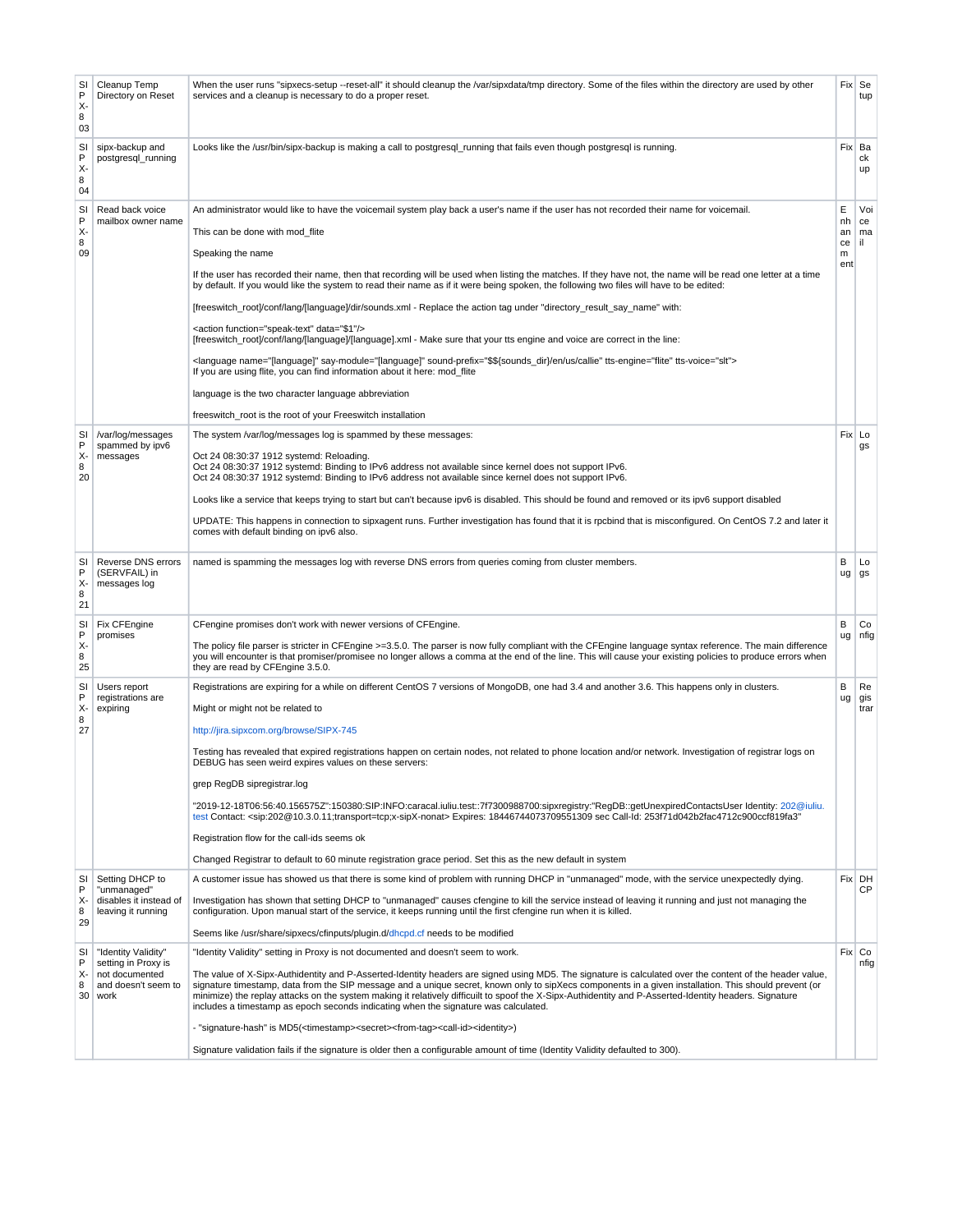| SI<br>$\mathsf{P}$<br>χ.<br>8<br>03 | Cleanup Temp<br>Directory on Reset                                                          | When the user runs "sipxecs-setup --reset-all" it should cleanup the /var/sipxdata/tmp directory. Some of the files within the directory are used by other<br>services and a cleanup is necessary to do a proper reset.                                                                                                                                                                                                                                                                                                                                                                                                                                                                                                                                                                                                                                                                                                                                                                                                                                                                                                                                                          |                                 | Fix Se<br>tup          |
|-------------------------------------|---------------------------------------------------------------------------------------------|----------------------------------------------------------------------------------------------------------------------------------------------------------------------------------------------------------------------------------------------------------------------------------------------------------------------------------------------------------------------------------------------------------------------------------------------------------------------------------------------------------------------------------------------------------------------------------------------------------------------------------------------------------------------------------------------------------------------------------------------------------------------------------------------------------------------------------------------------------------------------------------------------------------------------------------------------------------------------------------------------------------------------------------------------------------------------------------------------------------------------------------------------------------------------------|---------------------------------|------------------------|
| SI<br>P<br>χ.<br>8<br>04            | sipx-backup and<br>postgresql_running                                                       | Looks like the /usr/bin/sipx-backup is making a call to postgresql_running that fails even though postgresql is running.                                                                                                                                                                                                                                                                                                                                                                                                                                                                                                                                                                                                                                                                                                                                                                                                                                                                                                                                                                                                                                                         |                                 | Fix Ba<br>сk<br>up     |
| SI<br>P<br>χ.<br>8<br>09            | Read back voice<br>mailbox owner name                                                       | An administrator would like to have the voicemail system play back a user's name if the user has not recorded their name for voicemail.<br>This can be done with mod_flite<br>Speaking the name<br>If the user has recorded their name, then that recording will be used when listing the matches. If they have not, the name will be read one letter at a time<br>by default. If you would like the system to read their name as if it were being spoken, the following two files will have to be edited:<br>[freeswitch_root]/conf/lang/[language]/dir/sounds.xml - Replace the action tag under "directory_result_say_name" with:<br><action data="\$1" function="speak-text"></action><br>[freeswitch_root]/conf/lang/[language]/[language].xml - Make sure that your tts engine and voice are correct in the line:<br><language name="[language]" say-module="[language]" sound-prefix="\$\${sounds_dir}/en/us/callie" tts-engine="flite" tts-voice="slt"><br/>If you are using flite, you can find information about it here: mod_flite<br/>language is the two character language abbreviation<br/>freeswitch root is the root of your Freeswitch installation</language> | Е<br>nh<br>an<br>ce<br>m<br>ent | Voi<br>ce<br>ma<br>il. |
| SI<br>P<br>X-<br>8<br>20            | /var/log/messages<br>spammed by ipv6<br>messages                                            | The system /var/log/messages log is spammed by these messages:<br>Oct 24 08:30:37 1912 systemd: Reloading.<br>Oct 24 08:30:37 1912 systemd: Binding to IPv6 address not available since kernel does not support IPv6.<br>Oct 24 08:30:37 1912 systemd: Binding to IPv6 address not available since kernel does not support IPv6.<br>Looks like a service that keeps trying to start but can't because ipv6 is disabled. This should be found and removed or its ipv6 support disabled<br>UPDATE: This happens in connection to sipxagent runs. Further investigation has found that it is rpcbind that is misconfigured. On CentOS 7.2 and later it<br>comes with default binding on ipv6 also.                                                                                                                                                                                                                                                                                                                                                                                                                                                                                  |                                 | Fix Lo<br>gs           |
| SI<br>$\mathsf{P}$<br>χ.<br>8<br>21 | Reverse DNS errors<br>(SERVFAIL) in<br>messages log                                         | named is spamming the messages log with reverse DNS errors from queries coming from cluster members.                                                                                                                                                                                                                                                                                                                                                                                                                                                                                                                                                                                                                                                                                                                                                                                                                                                                                                                                                                                                                                                                             | B<br>ug                         | Lo<br>gs               |
| SI<br>P<br>χ.<br>8<br>25            | Fix CFEngine<br>promises                                                                    | CFengine promises don't work with newer versions of CFEngine.<br>The policy file parser is stricter in CFEngine >=3.5.0. The parser is now fully compliant with the CFEngine language syntax reference. The main difference<br>you will encounter is that promiser/promisee no longer allows a comma at the end of the line. This will cause your existing policies to produce errors when<br>they are read by CFEngine 3.5.0.                                                                                                                                                                                                                                                                                                                                                                                                                                                                                                                                                                                                                                                                                                                                                   | B<br>ug                         | Co<br>nfig             |
| SI<br>P<br>Х-<br>8<br>27            | Users report<br>registrations are<br>expiring                                               | Registrations are expiring for a while on different CentOS 7 versions of MongoDB, one had 3.4 and another 3.6. This happens only in clusters.<br>Might or might not be related to<br>http://jira.sipxcom.org/browse/SIPX-745<br>Testing has revealed that expired registrations happen on certain nodes, not related to phone location and/or network. Investigation of registrar logs on<br>DEBUG has seen weird expires values on these servers:<br>grep RegDB sipregistrar.log<br>"2019-12-18T06:56:40.156575Z":150380:SIP:INFO:caracal.iuliu.test::7f7300988700:sipxregistry:"RegDB::getUnexpiredContactsUser Identity: 202@iuliu.<br>test Contact: <sip:202@10.3.0.11;transport=tcp;x-sipx-nonat> Expires: 18446744073709551309 sec Call-Id: 253f71d042b2fac4712c900ccf819fa3"<br/>Registration flow for the call-ids seems ok<br/>Changed Registrar to default to 60 minute registration grace period. Set this as the new default in system</sip:202@10.3.0.11;transport=tcp;x-sipx-nonat>                                                                                                                                                                                | B<br>ug                         | Re<br>gis<br>trar      |
| SI<br>P<br>$X -$<br>8<br>29         | Setting DHCP to<br>"unmanaged"<br>disables it instead of<br>leaving it running              | A customer issue has showed us that there is some kind of problem with running DHCP in "unmanaged" mode, with the service unexpectedly dying.<br>Investigation has shown that setting DHCP to "unmanaged" causes cfengine to kill the service instead of leaving it running and just not managing the<br>configuration. Upon manual start of the service, it keeps running until the first cfengine run when it is killed.<br>Seems like /usr/share/sipxecs/cfinputs/plugin.d/dhcpd.cf needs to be modified                                                                                                                                                                                                                                                                                                                                                                                                                                                                                                                                                                                                                                                                      |                                 | Fix DH<br>СP           |
| SI<br>P<br>χ.<br>8<br>30            | "Identity Validity"<br>setting in Proxy is<br>not documented<br>and doesn't seem to<br>work | "Identity Validity" setting in Proxy is not documented and doesn't seem to work.<br>The value of X-Sipx-Authidentity and P-Asserted-Identity headers are signed using MD5. The signature is calculated over the content of the header value,<br>signature timestamp, data from the SIP message and a unique secret, known only to sipXecs components in a given installation. This should prevent (or<br>minimize) the replay attacks on the system making it relatively difficuilt to spoof the X-Sipx-Authidentity and P-Asserted-Identity headers. Signature<br>includes a timestamp as epoch seconds indicating when the signature was calculated.<br>- "signature-hash" is MD5( <timestamp><secret><from-tag><call-id><identity>)<br/>Signature validation fails if the signature is older then a configurable amount of time (Identity Validity defaulted to 300).</identity></call-id></from-tag></secret></timestamp>                                                                                                                                                                                                                                                    |                                 | Fix Co<br>nfig         |